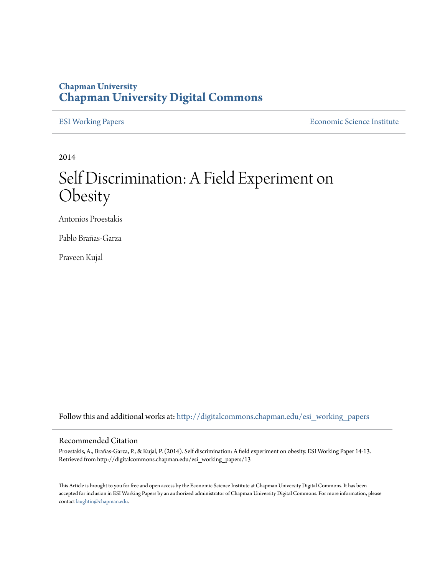## **Chapman University [Chapman University Digital Commons](http://digitalcommons.chapman.edu?utm_source=digitalcommons.chapman.edu%2Fesi_working_papers%2F13&utm_medium=PDF&utm_campaign=PDFCoverPages)**

[ESI Working Papers](http://digitalcommons.chapman.edu/esi_working_papers?utm_source=digitalcommons.chapman.edu%2Fesi_working_papers%2F13&utm_medium=PDF&utm_campaign=PDFCoverPages) **[Economic Science Institute](http://digitalcommons.chapman.edu/esi?utm_source=digitalcommons.chapman.edu%2Fesi_working_papers%2F13&utm_medium=PDF&utm_campaign=PDFCoverPages)** 

2014

# Self Discrimination: A Field Experiment on Obesity

Antonios Proestakis

Pablo Brañas-Garza

Praveen Kujal

Follow this and additional works at: [http://digitalcommons.chapman.edu/esi\\_working\\_papers](http://digitalcommons.chapman.edu/esi_working_papers?utm_source=digitalcommons.chapman.edu%2Fesi_working_papers%2F13&utm_medium=PDF&utm_campaign=PDFCoverPages)

#### Recommended Citation

Proestakis, A., Brañas-Garza, P., & Kujal, P. (2014). Self discrimination: A field experiment on obesity. ESI Working Paper 14-13. Retrieved from http://digitalcommons.chapman.edu/esi\_working\_papers/13

This Article is brought to you for free and open access by the Economic Science Institute at Chapman University Digital Commons. It has been accepted for inclusion in ESI Working Papers by an authorized administrator of Chapman University Digital Commons. For more information, please contact [laughtin@chapman.edu](mailto:laughtin@chapman.edu).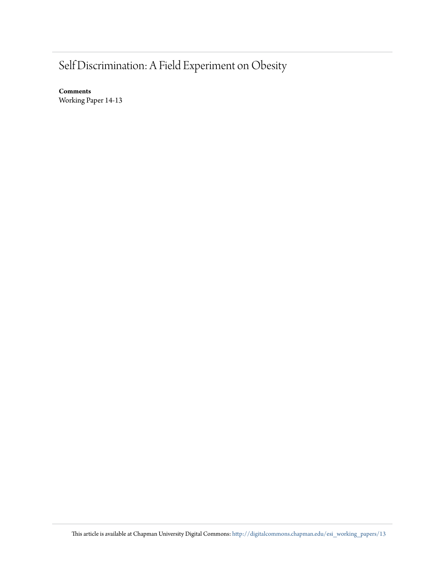# Self Discrimination: A Field Experiment on Obesity

**Comments** Working Paper 14-13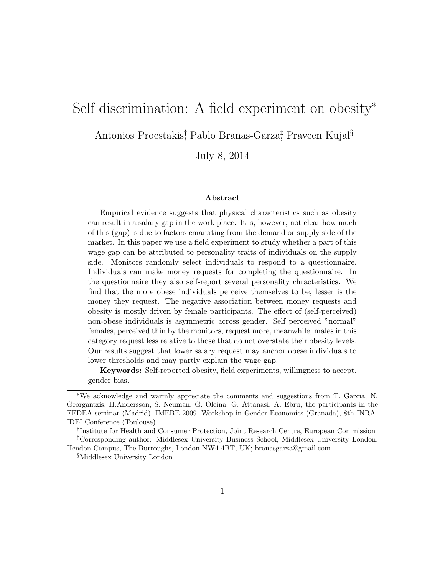## Self discrimination: A field experiment on obesity<sup>∗</sup>

Antonios Proestakis; Pablo Branas-Garza; Praveen Kujal<sup>§</sup>

July 8, 2014

#### Abstract

Empirical evidence suggests that physical characteristics such as obesity can result in a salary gap in the work place. It is, however, not clear how much of this (gap) is due to factors emanating from the demand or supply side of the market. In this paper we use a field experiment to study whether a part of this wage gap can be attributed to personality traits of individuals on the supply side. Monitors randomly select individuals to respond to a questionnaire. Individuals can make money requests for completing the questionnaire. In the questionnaire they also self-report several personality chracteristics. We find that the more obese individuals perceive themselves to be, lesser is the money they request. The negative association between money requests and obesity is mostly driven by female participants. The effect of (self-perceived) non-obese individuals is asymmetric across gender. Self perceived "normal" females, perceived thin by the monitors, request more, meanwhile, males in this category request less relative to those that do not overstate their obesity levels. Our results suggest that lower salary request may anchor obese individuals to lower thresholds and may partly explain the wage gap.

Keywords: Self-reported obesity, field experiments, willingness to accept, gender bias.

<sup>\*</sup>We acknowledge and warmly appreciate the comments and suggestions from T. García, N. Georgantzís, H.Andersson, S. Neuman, G. Olcina, G. Attanasi, A. Ebru, the participants in the FEDEA seminar (Madrid), IMEBE 2009, Workshop in Gender Economics (Granada), 8th INRA-IDEI Conference (Toulouse)

<sup>†</sup> Institute for Health and Consumer Protection, Joint Research Centre, European Commission ‡Corresponding author: Middlesex University Business School, Middlesex University London, Hendon Campus, The Burroughs, London NW4 4BT, UK; branasgarza@gmail.com.

<sup>§</sup>Middlesex University London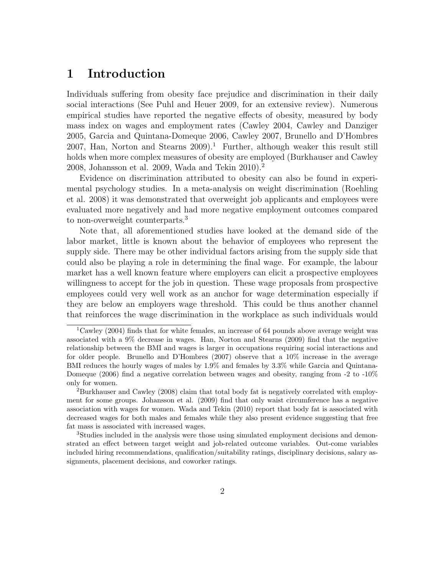## 1 Introduction

Individuals suffering from obesity face prejudice and discrimination in their daily social interactions (See Puhl and Heuer 2009, for an extensive review). Numerous empirical studies have reported the negative effects of obesity, measured by body mass index on wages and employment rates (Cawley 2004, Cawley and Danziger 2005, Garcia and Quintana-Domeque 2006, Cawley 2007, Brunello and D'Hombres 2007, Han, Norton and Stearns  $2009$ .<sup>1</sup> Further, although weaker this result still holds when more complex measures of obesity are employed (Burkhauser and Cawley 2008, Johansson et al. 2009, Wada and Tekin 2010).<sup>2</sup>

Evidence on discrimination attributed to obesity can also be found in experimental psychology studies. In a meta-analysis on weight discrimination (Roehling et al. 2008) it was demonstrated that overweight job applicants and employees were evaluated more negatively and had more negative employment outcomes compared to non-overweight counterparts.<sup>3</sup>

Note that, all aforementioned studies have looked at the demand side of the labor market, little is known about the behavior of employees who represent the supply side. There may be other individual factors arising from the supply side that could also be playing a role in determining the final wage. For example, the labour market has a well known feature where employers can elicit a prospective employees willingness to accept for the job in question. These wage proposals from prospective employees could very well work as an anchor for wage determination especially if they are below an employers wage threshold. This could be thus another channel that reinforces the wage discrimination in the workplace as such individuals would

 $1$ Cawley (2004) finds that for white females, an increase of 64 pounds above average weight was associated with a 9% decrease in wages. Han, Norton and Stearns (2009) find that the negative relationship between the BMI and wages is larger in occupations requiring social interactions and for older people. Brunello and D'Hombres (2007) observe that a 10% increase in the average BMI reduces the hourly wages of males by 1.9% and females by 3.3% while Garcia and Quintana-Domeque (2006) find a negative correlation between wages and obesity, ranging from -2 to -10% only for women.

<sup>2</sup>Burkhauser and Cawley (2008) claim that total body fat is negatively correlated with employment for some groups. Johansson et al. (2009) find that only waist circumference has a negative association with wages for women. Wada and Tekin (2010) report that body fat is associated with decreased wages for both males and females while they also present evidence suggesting that free fat mass is associated with increased wages.

<sup>3</sup>Studies included in the analysis were those using simulated employment decisions and demonstrated an effect between target weight and job-related outcome variables. Out-come variables included hiring recommendations, qualification/suitability ratings, disciplinary decisions, salary assignments, placement decisions, and coworker ratings.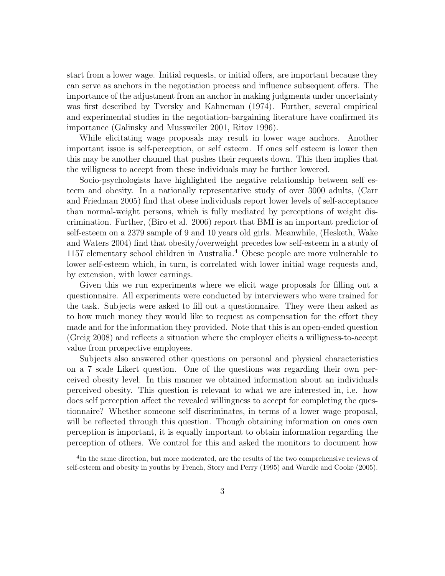start from a lower wage. Initial requests, or initial offers, are important because they can serve as anchors in the negotiation process and influence subsequent offers. The importance of the adjustment from an anchor in making judgments under uncertainty was first described by Tversky and Kahneman (1974). Further, several empirical and experimental studies in the negotiation-bargaining literature have confirmed its importance (Galinsky and Mussweiler 2001, Ritov 1996).

While elicitating wage proposals may result in lower wage anchors. Another important issue is self-perception, or self esteem. If ones self esteem is lower then this may be another channel that pushes their requests down. This then implies that the willigness to accept from these individuals may be further lowered.

Socio-psychologists have highlighted the negative relationship between self esteem and obesity. In a nationally representative study of over 3000 adults, (Carr and Friedman 2005) find that obese individuals report lower levels of self-acceptance than normal-weight persons, which is fully mediated by perceptions of weight discrimination. Further, (Biro et al. 2006) report that BMI is an important predictor of self-esteem on a 2379 sample of 9 and 10 years old girls. Meanwhile, (Hesketh, Wake and Waters 2004) find that obesity/overweight precedes low self-esteem in a study of 1157 elementary school children in Australia.<sup>4</sup> Obese people are more vulnerable to lower self-esteem which, in turn, is correlated with lower initial wage requests and, by extension, with lower earnings.

Given this we run experiments where we elicit wage proposals for filling out a questionnaire. All experiments were conducted by interviewers who were trained for the task. Subjects were asked to fill out a questionnaire. They were then asked as to how much money they would like to request as compensation for the effort they made and for the information they provided. Note that this is an open-ended question (Greig 2008) and reflects a situation where the employer elicits a willigness-to-accept value from prospective employees.

Subjects also answered other questions on personal and physical characteristics on a 7 scale Likert question. One of the questions was regarding their own perceived obesity level. In this manner we obtained information about an individuals perceived obesity. This question is relevant to what we are interested in, i.e. how does self perception affect the revealed willingness to accept for completing the questionnaire? Whether someone self discriminates, in terms of a lower wage proposal, will be reflected through this question. Though obtaining information on ones own perception is important, it is equally important to obtain information regarding the perception of others. We control for this and asked the monitors to document how

<sup>&</sup>lt;sup>4</sup>In the same direction, but more moderated, are the results of the two comprehensive reviews of self-esteem and obesity in youths by French, Story and Perry (1995) and Wardle and Cooke (2005).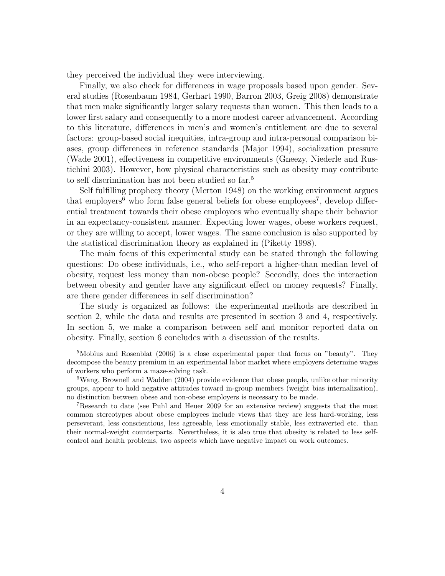they perceived the individual they were interviewing.

Finally, we also check for differences in wage proposals based upon gender. Several studies (Rosenbaum 1984, Gerhart 1990, Barron 2003, Greig 2008) demonstrate that men make significantly larger salary requests than women. This then leads to a lower first salary and consequently to a more modest career advancement. According to this literature, differences in men's and women's entitlement are due to several factors: group-based social inequities, intra-group and intra-personal comparison biases, group differences in reference standards (Major 1994), socialization pressure (Wade 2001), effectiveness in competitive environments (Gneezy, Niederle and Rustichini 2003). However, how physical characteristics such as obesity may contribute to self discrimination has not been studied so far.<sup>5</sup>

Self fulfilling prophecy theory (Merton 1948) on the working environment argues that employers<sup>6</sup> who form false general beliefs for obese employees<sup>7</sup>, develop differential treatment towards their obese employees who eventually shape their behavior in an expectancy-consistent manner. Expecting lower wages, obese workers request, or they are willing to accept, lower wages. The same conclusion is also supported by the statistical discrimination theory as explained in (Piketty 1998).

The main focus of this experimental study can be stated through the following questions: Do obese individuals, i.e., who self-report a higher-than median level of obesity, request less money than non-obese people? Secondly, does the interaction between obesity and gender have any significant effect on money requests? Finally, are there gender differences in self discrimination?

The study is organized as follows: the experimental methods are described in section 2, while the data and results are presented in section 3 and 4, respectively. In section 5, we make a comparison between self and monitor reported data on obesity. Finally, section 6 concludes with a discussion of the results.

<sup>5</sup>Mobius and Rosenblat (2006) is a close experimental paper that focus on "beauty". They decompose the beauty premium in an experimental labor market where employers determine wages of workers who perform a maze-solving task.

<sup>&</sup>lt;sup>6</sup>Wang, Brownell and Wadden (2004) provide evidence that obese people, unlike other minority groups, appear to hold negative attitudes toward in-group members (weight bias internalization), no distinction between obese and non-obese employers is necessary to be made.

<sup>7</sup>Research to date (see Puhl and Heuer 2009 for an extensive review) suggests that the most common stereotypes about obese employees include views that they are less hard-working, less perseverant, less conscientious, less agreeable, less emotionally stable, less extraverted etc. than their normal-weight counterparts. Nevertheless, it is also true that obesity is related to less selfcontrol and health problems, two aspects which have negative impact on work outcomes.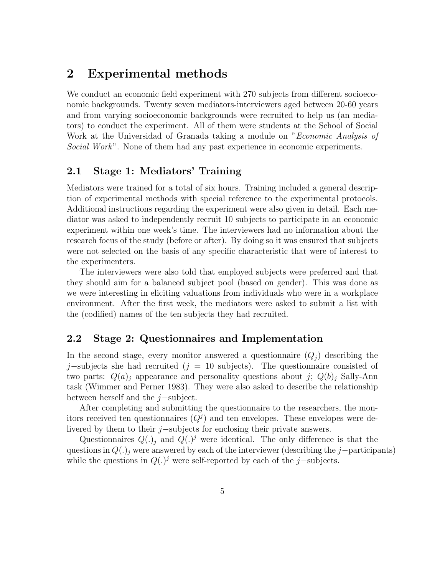### 2 Experimental methods

We conduct an economic field experiment with 270 subjects from different socioeconomic backgrounds. Twenty seven mediators-interviewers aged between 20-60 years and from varying socioeconomic backgrounds were recruited to help us (an mediators) to conduct the experiment. All of them were students at the School of Social Work at the Universidad of Granada taking a module on "*Economic Analysis of* Social Work". None of them had any past experience in economic experiments.

#### 2.1 Stage 1: Mediators' Training

Mediators were trained for a total of six hours. Training included a general description of experimental methods with special reference to the experimental protocols. Additional instructions regarding the experiment were also given in detail. Each mediator was asked to independently recruit 10 subjects to participate in an economic experiment within one week's time. The interviewers had no information about the research focus of the study (before or after). By doing so it was ensured that subjects were not selected on the basis of any specific characteristic that were of interest to the experimenters.

The interviewers were also told that employed subjects were preferred and that they should aim for a balanced subject pool (based on gender). This was done as we were interesting in eliciting valuations from individuals who were in a workplace environment. After the first week, the mediators were asked to submit a list with the (codified) names of the ten subjects they had recruited.

#### 2.2 Stage 2: Questionnaires and Implementation

In the second stage, every monitor answered a questionnaire  $(Q_i)$  describing the j–subjects she had recruited (j = 10 subjects). The questionnaire consisted of two parts:  $Q(a)_i$  appearance and personality questions about j;  $Q(b)_i$  Sally-Ann task (Wimmer and Perner 1983). They were also asked to describe the relationship between herself and the j−subject.

After completing and submitting the questionnaire to the researchers, the monitors received ten questionnaires  $(Q<sup>j</sup>)$  and ten envelopes. These envelopes were delivered by them to their j−subjects for enclosing their private answers.

Questionnaires  $Q(.)_j$  and  $Q(.)^j$  were identical. The only difference is that the questions in  $Q(.)_i$  were answered by each of the interviewer (describing the j−participants) while the questions in  $Q(.)^j$  were self-reported by each of the j–subjects.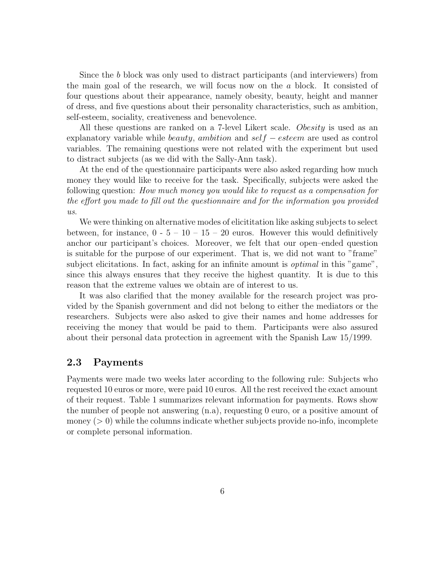Since the b block was only used to distract participants (and interviewers) from the main goal of the research, we will focus now on the a block. It consisted of four questions about their appearance, namely obesity, beauty, height and manner of dress, and five questions about their personality characteristics, such as ambition, self-esteem, sociality, creativeness and benevolence.

All these questions are ranked on a 7-level Likert scale. Obesity is used as an explanatory variable while *beauty*, ambition and  $self - esteem$  are used as control variables. The remaining questions were not related with the experiment but used to distract subjects (as we did with the Sally-Ann task).

At the end of the questionnaire participants were also asked regarding how much money they would like to receive for the task. Specifically, subjects were asked the following question: How much money you would like to request as a compensation for the effort you made to fill out the questionnaire and for the information you provided us.

We were thinking on alternative modes of elicititation like asking subjects to select between, for instance,  $0 - 5 - 10 - 15 - 20$  euros. However this would definitively anchor our participant's choices. Moreover, we felt that our open–ended question is suitable for the purpose of our experiment. That is, we did not want to "frame" subject elicitations. In fact, asking for an infinite amount is *optimal* in this "game", since this always ensures that they receive the highest quantity. It is due to this reason that the extreme values we obtain are of interest to us.

It was also clarified that the money available for the research project was provided by the Spanish government and did not belong to either the mediators or the researchers. Subjects were also asked to give their names and home addresses for receiving the money that would be paid to them. Participants were also assured about their personal data protection in agreement with the Spanish Law 15/1999.

#### 2.3 Payments

Payments were made two weeks later according to the following rule: Subjects who requested 10 euros or more, were paid 10 euros. All the rest received the exact amount of their request. Table 1 summarizes relevant information for payments. Rows show the number of people not answering (n.a), requesting 0 euro, or a positive amount of money  $(> 0)$  while the columns indicate whether subjects provide no-info, incomplete or complete personal information.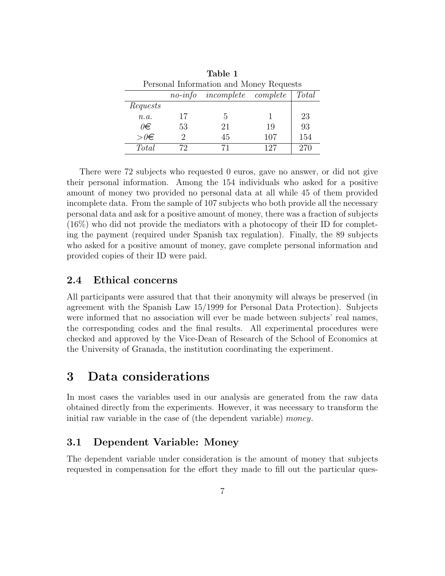| Personal Information and Money Requests |                  |                            |     |       |  |  |  |  |
|-----------------------------------------|------------------|----------------------------|-----|-------|--|--|--|--|
|                                         | $no\text{-}info$ | <i>incomplete complete</i> |     | Total |  |  |  |  |
| Requests                                |                  |                            |     |       |  |  |  |  |
| n.a.                                    | 17               | 5                          |     | 23    |  |  |  |  |
| $\theta \in$                            | 53               | 21                         | 19  | 93    |  |  |  |  |
| $> 0 \in$                               | 9                | 45                         | 107 | 154   |  |  |  |  |
| <i>Total</i>                            |                  |                            | 127 | 270   |  |  |  |  |

Table 1

There were 72 subjects who requested 0 euros, gave no answer, or did not give their personal information. Among the 154 individuals who asked for a positive amount of money two provided no personal data at all while 45 of them provided incomplete data. From the sample of 107 subjects who both provide all the necessary personal data and ask for a positive amount of money, there was a fraction of subjects (16%) who did not provide the mediators with a photocopy of their ID for completing the payment (required under Spanish tax regulation). Finally, the 89 subjects who asked for a positive amount of money, gave complete personal information and provided copies of their ID were paid.

#### 2.4 Ethical concerns

All participants were assured that that their anonymity will always be preserved (in agreement with the Spanish Law 15/1999 for Personal Data Protection). Subjects were informed that no association will ever be made between subjects' real names, the corresponding codes and the final results. All experimental procedures were checked and approved by the Vice-Dean of Research of the School of Economics at the University of Granada, the institution coordinating the experiment.

### 3 Data considerations

In most cases the variables used in our analysis are generated from the raw data obtained directly from the experiments. However, it was necessary to transform the initial raw variable in the case of (the dependent variable) money.

#### 3.1 Dependent Variable: Money

The dependent variable under consideration is the amount of money that subjects requested in compensation for the effort they made to fill out the particular ques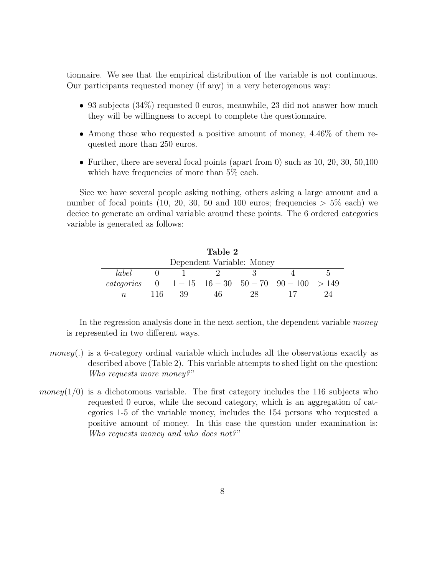tionnaire. We see that the empirical distribution of the variable is not continuous. Our participants requested money (if any) in a very heterogenous way:

- 93 subjects (34%) requested 0 euros, meanwhile, 23 did not answer how much they will be willingness to accept to complete the questionnaire.
- Among those who requested a positive amount of money, 4.46% of them requested more than 250 euros.
- Further, there are several focal points (apart from 0) such as  $10, 20, 30, 50, 100$ which have frequencies of more than  $5\%$  each.

Sice we have several people asking nothing, others asking a large amount and a number of focal points (10, 20, 30, 50 and 100 euros; frequencies  $> 5\%$  each) we decice to generate an ordinal variable around these points. The 6 ordered categories variable is generated as follows:

| Table 2                   |                                                          |                                                                                               |      |     |  |  |  |  |  |  |
|---------------------------|----------------------------------------------------------|-----------------------------------------------------------------------------------------------|------|-----|--|--|--|--|--|--|
| Dependent Variable: Money |                                                          |                                                                                               |      |     |  |  |  |  |  |  |
| label                     |                                                          | - 2<br>$\mathbf{U}$<br>$\mathcal{L}$ and $\mathcal{L}$<br>and the contract of the contract of |      |     |  |  |  |  |  |  |
|                           | categories $0 \t 1-15 \t 16-30 \t 50-70 \t 90-100 > 149$ |                                                                                               |      |     |  |  |  |  |  |  |
| $n_{\rm c}$               | 116                                                      | -39                                                                                           | - 46 | 28. |  |  |  |  |  |  |

In the regression analysis done in the next section, the dependent variable *money* is represented in two different ways.

- money( $\ldots$ ) is a 6-category ordinal variable which includes all the observations exactly as described above (Table 2). This variable attempts to shed light on the question: Who requests more money?"
- money( $1/0$ ) is a dichotomous variable. The first category includes the 116 subjects who requested 0 euros, while the second category, which is an aggregation of categories 1-5 of the variable money, includes the 154 persons who requested a positive amount of money. In this case the question under examination is: Who requests money and who does not?"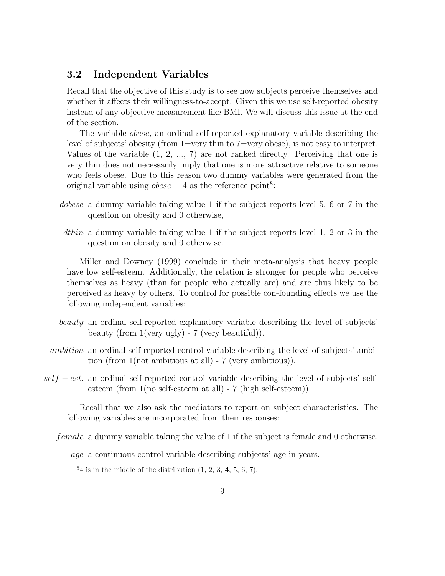#### 3.2 Independent Variables

Recall that the objective of this study is to see how subjects perceive themselves and whether it affects their willingness-to-accept. Given this we use self-reported obesity instead of any objective measurement like BMI. We will discuss this issue at the end of the section.

The variable obese, an ordinal self-reported explanatory variable describing the level of subjects' obesity (from 1=very thin to 7=very obese), is not easy to interpret. Values of the variable (1, 2, ..., 7) are not ranked directly. Perceiving that one is very thin does not necessarily imply that one is more attractive relative to someone who feels obese. Due to this reason two dummy variables were generated from the original variable using  $obese = 4$  as the reference point<sup>8</sup>:

- dobese a dummy variable taking value 1 if the subject reports level 5, 6 or 7 in the question on obesity and 0 otherwise,
- dthin a dummy variable taking value 1 if the subject reports level 1, 2 or 3 in the question on obesity and 0 otherwise.

Miller and Downey (1999) conclude in their meta-analysis that heavy people have low self-esteem. Additionally, the relation is stronger for people who perceive themselves as heavy (than for people who actually are) and are thus likely to be perceived as heavy by others. To control for possible con-founding effects we use the following independent variables:

- beauty an ordinal self-reported explanatory variable describing the level of subjects' beauty (from 1(very ugly) - 7 (very beautiful)).
- ambition an ordinal self-reported control variable describing the level of subjects' ambition (from 1(not ambitious at all) - 7 (very ambitious)).
- $self-est.$  an ordinal self-reported control variable describing the level of subjects' selfesteem (from 1(no self-esteem at all) - 7 (high self-esteem)).

Recall that we also ask the mediators to report on subject characteristics. The following variables are incorporated from their responses:

female a dummy variable taking the value of 1 if the subject is female and 0 otherwise.

age a continuous control variable describing subjects' age in years.

 $84$  is in the middle of the distribution  $(1, 2, 3, 4, 5, 6, 7)$ .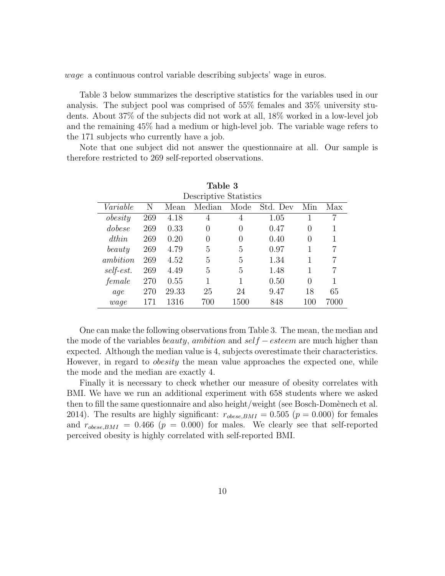wage a continuous control variable describing subjects' wage in euros.

Table 3 below summarizes the descriptive statistics for the variables used in our analysis. The subject pool was comprised of 55% females and 35% university students. About 37% of the subjects did not work at all, 18% worked in a low-level job and the remaining 45% had a medium or high-level job. The variable wage refers to the 171 subjects who currently have a job.

Note that one subject did not answer the questionnaire at all. Our sample is therefore restricted to 269 self-reported observations.

| Table 3                |     |       |          |                  |          |          |      |  |  |  |
|------------------------|-----|-------|----------|------------------|----------|----------|------|--|--|--|
| Descriptive Statistics |     |       |          |                  |          |          |      |  |  |  |
| Variable               | Ν   | Mean  | Median   | Mode             | Std. Dev | Min      | Max  |  |  |  |
| obesity                | 269 | 4.18  | 4        | 4                | 1.05     |          |      |  |  |  |
| dobese                 | 269 | 0.33  | 0        | $\left( \right)$ | 0.47     | 0        |      |  |  |  |
| $d$ thin               | 269 | 0.20  | $\theta$ | $\left( \right)$ | 0.40     | 0        |      |  |  |  |
| beauty                 | 269 | 4.79  | 5        | 5                | 0.97     |          |      |  |  |  |
| <i>ambition</i>        | 269 | 4.52  | 5        | 5                | 1.34     | 1        |      |  |  |  |
| self-est.              | 269 | 4.49  | 5        | 5                | 1.48     | 1        |      |  |  |  |
| female                 | 270 | 0.55  | 1        | 1                | 0.50     | $\Omega$ |      |  |  |  |
| aqe                    | 270 | 29.33 | 25       | 24               | 9.47     | 18       | 65   |  |  |  |
| wage                   | 171 | 1316  | 700      | 1500             | 848      | $100\,$  | 7000 |  |  |  |

One can make the following observations from Table 3. The mean, the median and the mode of the variables *beauty*, ambition and  $self - esteem$  are much higher than expected. Although the median value is 4, subjects overestimate their characteristics. However, in regard to *obesity* the mean value approaches the expected one, while the mode and the median are exactly 4.

Finally it is necessary to check whether our measure of obesity correlates with BMI. We have we run an additional experiment with 658 students where we asked then to fill the same questionnaire and also height/weight (see Bosch-Domènech et al. 2014). The results are highly significant:  $r_{obese,BMI} = 0.505$  ( $p = 0.000$ ) for females and  $r_{obese,BMI} = 0.466$  ( $p = 0.000$ ) for males. We clearly see that self-reported perceived obesity is highly correlated with self-reported BMI.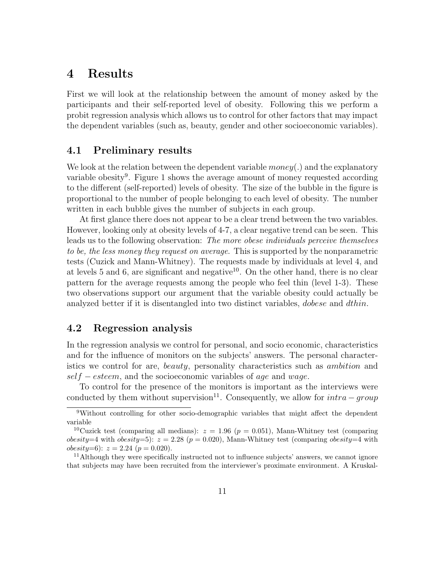## 4 Results

First we will look at the relationship between the amount of money asked by the participants and their self-reported level of obesity. Following this we perform a probit regression analysis which allows us to control for other factors that may impact the dependent variables (such as, beauty, gender and other socioeconomic variables).

#### 4.1 Preliminary results

We look at the relation between the dependent variable  $money(.)$  and the explanatory variable obesity<sup>9</sup>. Figure 1 shows the average amount of money requested according to the different (self-reported) levels of obesity. The size of the bubble in the figure is proportional to the number of people belonging to each level of obesity. The number written in each bubble gives the number of subjects in each group.

At first glance there does not appear to be a clear trend between the two variables. However, looking only at obesity levels of 4-7, a clear negative trend can be seen. This leads us to the following observation: The more obese individuals perceive themselves to be, the less money they request on average. This is supported by the nonparametric tests (Cuzick and Mann-Whitney). The requests made by individuals at level 4, and at levels 5 and 6, are significant and negative<sup>10</sup>. On the other hand, there is no clear pattern for the average requests among the people who feel thin (level 1-3). These two observations support our argument that the variable obesity could actually be analyzed better if it is disentangled into two distinct variables, *dobese* and *dthin*.

#### 4.2 Regression analysis

In the regression analysis we control for personal, and socio economic, characteristics and for the influence of monitors on the subjects' answers. The personal characteristics we control for are, beauty, personality characteristics such as ambition and  $self - esteem$ , and the socioeconomic variables of age and wage.

To control for the presence of the monitors is important as the interviews were conducted by them without supervision<sup>11</sup>. Consequently, we allow for  $intra - group$ 

<sup>9</sup>Without controlling for other socio-demographic variables that might affect the dependent variable

<sup>&</sup>lt;sup>10</sup>Cuzick test (comparing all medians):  $z = 1.96$  ( $p = 0.051$ ), Mann-Whitney test (comparing obesity=4 with obesity=5):  $z = 2.28$  ( $p = 0.020$ ), Mann-Whitney test (comparing obesity=4 with obesity=6):  $z = 2.24$  ( $p = 0.020$ ).

<sup>&</sup>lt;sup>11</sup>Although they were specifically instructed not to influence subjects' answers, we cannot ignore that subjects may have been recruited from the interviewer's proximate environment. A Kruskal-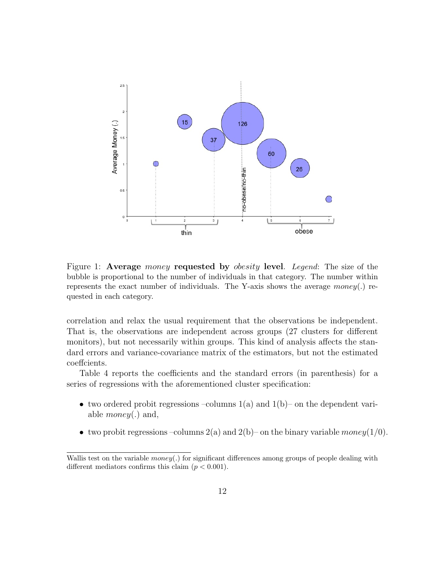

Figure 1: Average *money* requested by *obesity* level. Legend: The size of the bubble is proportional to the number of individuals in that category. The number within represents the exact number of individuals. The Y-axis shows the average money(.) requested in each category.

correlation and relax the usual requirement that the observations be independent. That is, the observations are independent across groups (27 clusters for different monitors), but not necessarily within groups. This kind of analysis affects the standard errors and variance-covariance matrix of the estimators, but not the estimated coeffcients.

Table 4 reports the coefficients and the standard errors (in parenthesis) for a series of regressions with the aforementioned cluster specification:

- two ordered probit regressions –columns  $1(a)$  and  $1(b)$  on the dependent variable *money*(.) and,
- two probit regressions –columns 2(a) and 2(b)– on the binary variable money(1/0).

Wallis test on the variable  $money(.)$  for significant differences among groups of people dealing with different mediators confirms this claim  $(p < 0.001)$ .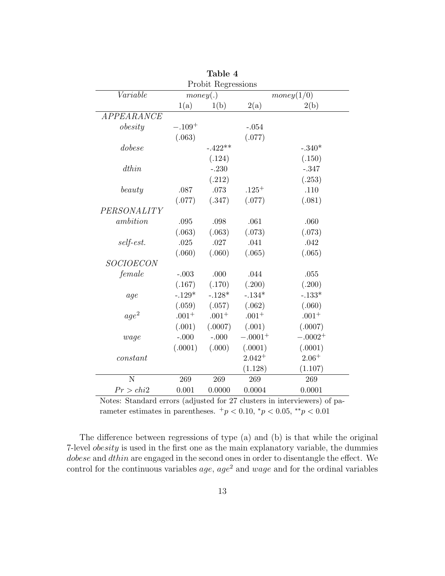| Probit Regressions      |          |                        |             |           |  |  |  |  |
|-------------------------|----------|------------------------|-------------|-----------|--|--|--|--|
| Variable                |          | money(.)<br>money(1/0) |             |           |  |  |  |  |
|                         | 1(a)     | 1(b)                   | 2(a)        | 2(b)      |  |  |  |  |
| APPEARANCE              |          |                        |             |           |  |  |  |  |
| $\delta$ <i>obesity</i> | $-.109+$ |                        | $-.054$     |           |  |  |  |  |
|                         | (.063)   |                        | (.077)      |           |  |  |  |  |
| dobese                  |          | $-.422**$              |             | $-.340*$  |  |  |  |  |
|                         |          | (.124)                 |             | (.150)    |  |  |  |  |
| dthin                   |          | $-.230$                |             | $-.347$   |  |  |  |  |
|                         |          | (.212)                 |             | (.253)    |  |  |  |  |
| beauty                  | $.087\,$ | $.073\,$               | $.125+$     | .110      |  |  |  |  |
|                         | (.077)   | (.347)                 | (.077)      | (.081)    |  |  |  |  |
| PERSONALITY             |          |                        |             |           |  |  |  |  |
| ambition                | .095     | .098                   | .061        | .060      |  |  |  |  |
|                         | (.063)   | (.063)                 | (.073)      | (.073)    |  |  |  |  |
| self-est.               | .025     | .027                   | .041        | .042      |  |  |  |  |
|                         | (.060)   | (.060)                 | (.065)      | (.065)    |  |  |  |  |
| <b>SOCIOECON</b>        |          |                        |             |           |  |  |  |  |
| female                  | $-.003$  | .000                   | .044        | .055      |  |  |  |  |
|                         | (.167)   | (.170)                 | (.200)      | (.200)    |  |  |  |  |
| age                     | $-.129*$ | $-.128*$               | $-.134*$    | $-.133*$  |  |  |  |  |
|                         | (.059)   | (.057)                 | (.062)      | (.060)    |  |  |  |  |
| age <sup>2</sup>        | $.001 +$ | $.001 +$               | $.001 +$    | $.001 +$  |  |  |  |  |
|                         | (.001)   | (.0007)                | (.001)      | (.0007)   |  |  |  |  |
| wage                    | $-.000$  | $-.000$                | $-.0001+$   | $-.0002+$ |  |  |  |  |
|                         | (.0001)  | (.000)                 | (.0001)     | (.0001)   |  |  |  |  |
| constant                |          |                        | $2.042^{+}$ | $2.06+$   |  |  |  |  |
|                         |          |                        | (1.128)     | (1.107)   |  |  |  |  |
| N                       | 269      | 269                    | 269         | 269       |  |  |  |  |
| Pr > chi2               | 0.001    | 0.0000                 | 0.0004      | 0.0001    |  |  |  |  |

Table 4

Notes: Standard errors (adjusted for 27 clusters in interviewers) of parameter estimates in parentheses.  $+p < 0.10$ ,  $\degree p < 0.05$ ,  $\degree\degree p < 0.01$ 

The difference between regressions of type (a) and (b) is that while the original 7-level *obesity* is used in the first one as the main explanatory variable, the dummies dobese and dthin are engaged in the second ones in order to disentangle the effect. We control for the continuous variables  $age, age^2$  and  $wage$  and for the ordinal variables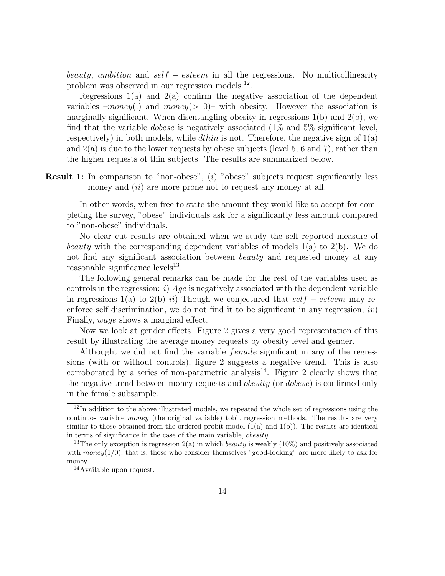beauty, ambition and self – esteem in all the regressions. No multicollinearity problem was observed in our regression models.<sup>12</sup>.

Regressions  $1(a)$  and  $2(a)$  confirm the negative association of the dependent variables  $-money(.)$  and  $money(> 0)$ – with obesity. However the association is marginally significant. When disentangling obesity in regressions  $1(b)$  and  $2(b)$ , we find that the variable *dobese* is negatively associated  $(1\%$  and  $5\%$  significant level, respectively) in both models, while *dthin* is not. Therefore, the negative sign of  $1(a)$ and 2(a) is due to the lower requests by obese subjects (level 5, 6 and 7), rather than the higher requests of thin subjects. The results are summarized below.

Result 1: In comparison to "non-obese", (i) "obese" subjects request significantly less money and *(ii)* are more prone not to request any money at all.

In other words, when free to state the amount they would like to accept for completing the survey, "obese" individuals ask for a significantly less amount compared to "non-obese" individuals.

No clear cut results are obtained when we study the self reported measure of beauty with the corresponding dependent variables of models  $1(a)$  to  $2(b)$ . We do not find any significant association between *beauty* and requested money at any reasonable significance levels<sup>13</sup>.

The following general remarks can be made for the rest of the variables used as controls in the regression: i)  $Age$  is negatively associated with the dependent variable in regressions 1(a) to 2(b) ii) Though we conjectured that  $self - esteem$  may reenforce self discrimination, we do not find it to be significant in any regression;  $iv$ ) Finally, *wage* shows a marginal effect.

Now we look at gender effects. Figure 2 gives a very good representation of this result by illustrating the average money requests by obesity level and gender.

Althought we did not find the variable female significant in any of the regressions (with or without controls), figure 2 suggests a negative trend. This is also corroborated by a series of non-parametric analysis<sup>14</sup>. Figure 2 clearly shows that the negative trend between money requests and *obesity* (or *dobese*) is confirmed only in the female subsample.

 $12$ In addition to the above illustrated models, we repeated the whole set of regressions using the continuos variable money (the original variable) tobit regression methods. The results are very similar to those obtained from the ordered probit model  $(1(a)$  and  $1(b)$ ). The results are identical in terms of significance in the case of the main variable, obesity.

<sup>&</sup>lt;sup>13</sup>The only exception is regression  $2(a)$  in which *beauty* is weakly  $(10\%)$  and positively associated with  $money(1/0)$ , that is, those who consider themselves "good-looking" are more likely to ask for money.

<sup>14</sup>Available upon request.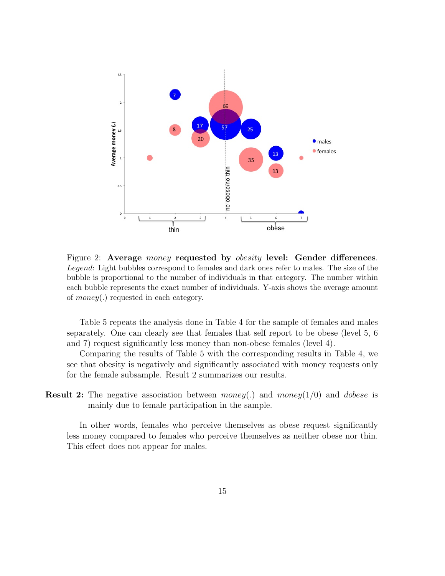

Figure 2: Average *money* requested by *obesity* level: Gender differences. Legend: Light bubbles correspond to females and dark ones refer to males. The size of the bubble is proportional to the number of individuals in that category. The number within each bubble represents the exact number of individuals. Y-axis shows the average amount of money(.) requested in each category.

Table 5 repeats the analysis done in Table 4 for the sample of females and males separately. One can clearly see that females that self report to be obese (level 5, 6 and 7) request significantly less money than non-obese females (level 4).

Comparing the results of Table 5 with the corresponding results in Table 4, we see that obesity is negatively and significantly associated with money requests only for the female subsample. Result 2 summarizes our results.

**Result 2:** The negative association between money(.) and money( $1/0$ ) and dobese is mainly due to female participation in the sample.

In other words, females who perceive themselves as obese request significantly less money compared to females who perceive themselves as neither obese nor thin. This effect does not appear for males.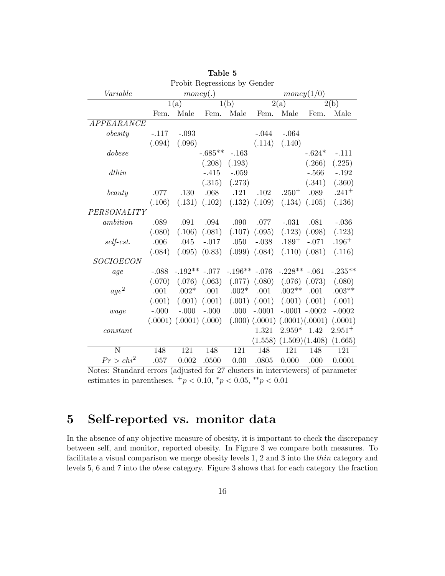| Probit Regressions by Gender |              |                              |                   |                |                                            |                |                   |           |  |
|------------------------------|--------------|------------------------------|-------------------|----------------|--------------------------------------------|----------------|-------------------|-----------|--|
| Variable                     | money(.)     |                              |                   |                | money(1/0)                                 |                |                   |           |  |
|                              | 1(a)<br>1(b) |                              |                   |                | $\overline{2}(a)$                          |                | 2(b)              |           |  |
|                              | Fem.         | Male                         | Fem.              | Male           | Fem.                                       | Male           | Fem.              | Male      |  |
| APPEARANCE                   |              |                              |                   |                |                                            |                |                   |           |  |
| $\delta$ <i>obesity</i>      | $-.117$      | $-.093$                      |                   |                | $-.044$                                    | $-.064$        |                   |           |  |
|                              | (.094)       | (.096)                       |                   |                | (.114)                                     | (.140)         |                   |           |  |
| dobese                       |              |                              | $-.685**$         | $-.163$        |                                            |                | $-.624*$          | $-.111$   |  |
|                              |              |                              | (.208)            | (.193)         |                                            |                | (.266)            | (.225)    |  |
| dthin                        |              |                              | $-.415$           | $-.059$        |                                            |                | $-.566$           | $-.192$   |  |
|                              |              |                              | (.315)            | (.273)         |                                            |                | (.341)            | (.360)    |  |
| beauty                       | .077         | .130                         | .068              | .121           | .102                                       | $.250^{+}$     | .089              | $.241 +$  |  |
|                              | (.106)       | (.131)                       | (.102)            |                | $(.132)$ $(.109)$                          |                | $(.134)$ $(.105)$ | (.136)    |  |
| PERSONALITY                  |              |                              |                   |                |                                            |                |                   |           |  |
| ambition                     | .089         | .091                         | .094              | .090           | .077                                       | $-.031$        | .081              | $-.036$   |  |
|                              | (.080)       | (.106)                       | (.081)            | (.107)         | (.095)                                     | (.123)         | (.098)            | (.123)    |  |
| self-est.                    | .006         | .045                         | $-.017$           | .050           | $-.038$                                    | $.189 +$       | $-.071$           | $.196+$   |  |
|                              | (.084)       |                              | $(.095)$ $(0.83)$ |                | $(.099)$ $(.084)$                          |                | $(.110)$ $(.081)$ | (.116)    |  |
| <i>SOCIOECON</i>             |              |                              |                   |                |                                            |                |                   |           |  |
| age                          | $-.088$      | $-.192**-.077$               |                   | $-.196**-.076$ |                                            | $-.228**-.061$ |                   | $-.235**$ |  |
|                              | (.070)       | (.076)                       | (.063)            | (.077)         | (.080)                                     |                | $(.076)$ $(.073)$ | (.080)    |  |
| age <sup>2</sup>             | .001         | $.002*$                      | .001              | $.002*$        | .001                                       | $.002**$       | .001              | $.003**$  |  |
|                              | (.001)       |                              | $(.001)$ $(.001)$ |                | $(.001)$ $(.001)$                          |                | $(.001)$ $(.001)$ | (.001)    |  |
| wage                         | $-.000$      | $-.000$                      | $-.000$           | .000           | $-.0001$                                   |                | $-.0001-.0002$    | $-.0002$  |  |
|                              |              | $(.0001)$ $(.0001)$ $(.000)$ |                   |                | $(0.000)$ $(0.0001)$ $(0.0001)$ $(0.0001)$ |                |                   | (.0001)   |  |
| constant                     |              |                              |                   |                | 1.321                                      | $2.959*$       | 1.42              | $2.951+$  |  |
|                              |              |                              |                   |                | (1.558)                                    |                | (1.509)(1.408)    | (1.665)   |  |
| N                            | 148          | 121                          | 148               | 121            | 148                                        | 121            | 148               | 121       |  |
| $Pr > chi^2$                 | .057         | 0.002                        | .0500             | 0.00           | .0805                                      | 0.000          | .000              | 0.0001    |  |

Table 5

Notes: Standard errors (adjusted for 27 clusters in interviewers) of parameter estimates in parentheses.  $^{+}p < 0.10, \, {}^{*}p < 0.05, \, {}^{**}p < 0.01$ 

## 5 Self-reported vs. monitor data

In the absence of any objective measure of obesity, it is important to check the discrepancy between self, and monitor, reported obesity. In Figure 3 we compare both measures. To facilitate a visual comparison we merge obesity levels 1, 2 and 3 into the thin category and levels 5, 6 and 7 into the obese category. Figure 3 shows that for each category the fraction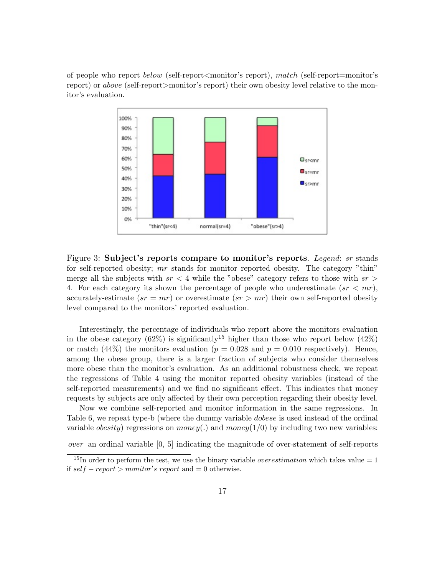of people who report below (self-report<monitor's report), match (self-report=monitor's report) or above (self-report>monitor's report) their own obesity level relative to the monitor's evaluation.



Figure 3: Subject's reports compare to monitor's reports. Legend: sr stands for self-reported obesity; mr stands for monitor reported obesity. The category "thin" merge all the subjects with  $sr < 4$  while the "obese" category refers to those with  $sr >$ 4. For each category its shown the percentage of people who underestimate  $(sr < mr)$ , accurately-estimate  $(sr = mr)$  or overestimate  $(sr > mr)$  their own self-reported obesity level compared to the monitors' reported evaluation.

Interestingly, the percentage of individuals who report above the monitors evaluation in the obese category (62%) is significantly<sup>15</sup> higher than those who report below (42%) or match (44%) the monitors evaluation ( $p = 0.028$  and  $p = 0.010$  respectively). Hence, among the obese group, there is a larger fraction of subjects who consider themselves more obese than the monitor's evaluation. As an additional robustness check, we repeat the regressions of Table 4 using the monitor reported obesity variables (instead of the self-reported measurements) and we find no significant effect. This indicates that money requests by subjects are only affected by their own perception regarding their obesity level.

Now we combine self-reported and monitor information in the same regressions. In Table 6, we repeat type-b (where the dummy variable dobese is used instead of the ordinal variable *obesity*) regressions on *money*(.) and *money*(1/0) by including two new variables:

over an ordinal variable [0, 5] indicating the magnitude of over-statement of self-reports

<sup>&</sup>lt;sup>15</sup>In order to perform the test, we use the binary variable *overestimation* which takes value = 1 if  $self-report > monitor's report$  and  $= 0$  otherwise.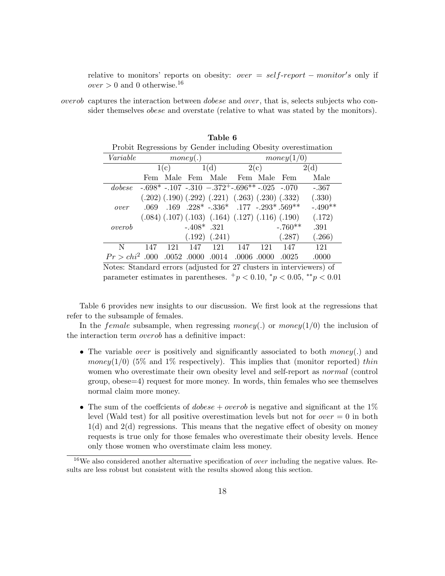relative to monitors' reports on obesity:  $over = self-report - monitor's$  only if  $over > 0$  and 0 otherwise.<sup>16</sup>

overob captures the interaction between dobese and over, that is, selects subjects who consider themselves obese and overstate (relative to what was stated by the monitors).

Table 6

| Probit Regressions by Gender including Obesity overestimation        |      |          |               |                                                                    |     |            |           |           |  |  |
|----------------------------------------------------------------------|------|----------|---------------|--------------------------------------------------------------------|-----|------------|-----------|-----------|--|--|
| Variable                                                             |      | money(.) |               |                                                                    |     | money(1/0) |           |           |  |  |
|                                                                      |      | 1(c)     |               | 1(d)                                                               |     | 2(c)       |           | 2(d)      |  |  |
|                                                                      | Fem  |          |               | Male Fem Male Fem Male Fem                                         |     |            |           | Male      |  |  |
| dobese                                                               |      |          |               | $-0.698*$ $-0.107$ $-0.310$ $-0.372*$ $-0.696**$ $-0.025$ $-0.070$ |     |            |           | $-.367$   |  |  |
|                                                                      |      |          |               | $(.202) (.190) (.292) (.221) (.263) (.230) (.332)$                 |     |            |           | (.330)    |  |  |
| over                                                                 | .069 |          |               | .169 .228* -.336* .177 -.293*.569**                                |     |            |           | $-.490**$ |  |  |
|                                                                      |      |          |               | $(.084)$ $(.107)$ $(.103)$ $(.164)$ $(.127)$ $(.116)$ $(.190)$     |     |            |           | (.172)    |  |  |
| overob                                                               |      |          | $-.408*$ .321 |                                                                    |     |            | $-.760**$ | .391      |  |  |
|                                                                      |      |          |               | $(.192)$ $(.241)$                                                  |     |            | (.287)    | (.266)    |  |  |
| N                                                                    | 147  | 121      | 147           | 121                                                                | 147 | 121        | 147       | 121       |  |  |
| $Pr > chi^2$ .000 .0052 .0000 .0014 .0006 .0000                      |      |          |               |                                                                    |     |            | .0025     | .0000     |  |  |
| Notes: Standard errors (adjusted for 27 elustors in interviewers) of |      |          |               |                                                                    |     |            |           |           |  |  |

Notes: Standard errors (adjusted for 27 clusters in interviewers) of parameter estimates in parentheses.  $+p < 0.10$ ,  $\gamma p < 0.05$ ,  $\gamma p < 0.01$ 

Table 6 provides new insights to our discussion. We first look at the regressions that refer to the subsample of females.

In the *female* subsample, when regressing money(.) or money(1/0) the inclusion of the interaction term overob has a definitive impact:

- The variable *over* is positively and significantly associated to both *money*(.) and money(1/0) (5% and 1% respectively). This implies that (monitor reported) thin women who overestimate their own obesity level and self-report as *normal* (control group, obese=4) request for more money. In words, thin females who see themselves normal claim more money.
- The sum of the coeffcients of *dobese* + *overob* is negative and significant at the  $1\%$ level (Wald test) for all positive overestimation levels but not for  $over = 0$  in both 1(d) and 2(d) regressions. This means that the negative effect of obesity on money requests is true only for those females who overestimate their obesity levels. Hence only those women who overstimate claim less money.

 $16$ We also considered another alternative specification of *over* including the negative values. Results are less robust but consistent with the results showed along this section.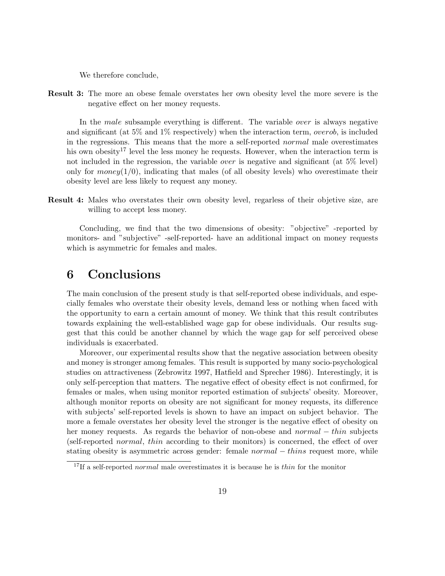We therefore conclude,

Result 3: The more an obese female overstates her own obesity level the more severe is the negative effect on her money requests.

In the *male* subsample everything is different. The variable *over* is always negative and significant (at 5% and 1% respectively) when the interaction term, *overob*, is included in the regressions. This means that the more a self-reported normal male overestimates his own obesity<sup>17</sup> level the less money he requests. However, when the interaction term is not included in the regression, the variable *over* is negative and significant (at 5% level) only for money( $1/0$ ), indicating that males (of all obesity levels) who overestimate their obesity level are less likely to request any money.

Result 4: Males who overstates their own obesity level, regarless of their objetive size, are willing to accept less money.

Concluding, we find that the two dimensions of obesity: "objective" -reported by monitors- and "subjective" -self-reported- have an additional impact on money requests which is asymmetric for females and males.

## 6 Conclusions

The main conclusion of the present study is that self-reported obese individuals, and especially females who overstate their obesity levels, demand less or nothing when faced with the opportunity to earn a certain amount of money. We think that this result contributes towards explaining the well-established wage gap for obese individuals. Our results suggest that this could be another channel by which the wage gap for self perceived obese individuals is exacerbated.

Moreover, our experimental results show that the negative association between obesity and money is stronger among females. This result is supported by many socio-psychological studies on attractiveness (Zebrowitz 1997, Hatfield and Sprecher 1986). Interestingly, it is only self-perception that matters. The negative effect of obesity effect is not confirmed, for females or males, when using monitor reported estimation of subjects' obesity. Moreover, although monitor reports on obesity are not significant for money requests, its difference with subjects' self-reported levels is shown to have an impact on subject behavior. The more a female overstates her obesity level the stronger is the negative effect of obesity on her money requests. As regards the behavior of non-obese and *normal* − thin subjects (self-reported normal, thin according to their monitors) is concerned, the effect of over stating obesity is asymmetric across gender: female *normal* − *thins* request more, while

<sup>&</sup>lt;sup>17</sup>If a self-reported *normal* male overestimates it is because he is *thin* for the monitor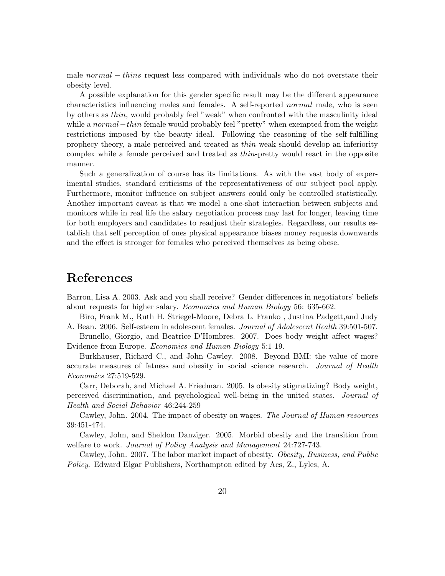male normal – thins request less compared with individuals who do not overstate their obesity level.

A possible explanation for this gender specific result may be the different appearance characteristics influencing males and females. A self-reported normal male, who is seen by others as thin, would probably feel "weak" when confronted with the masculinity ideal while a *normal – thin* female would probably feel "pretty" when exempted from the weight restrictions imposed by the beauty ideal. Following the reasoning of the self-fulfilling prophecy theory, a male perceived and treated as thin-weak should develop an inferiority complex while a female perceived and treated as thin-pretty would react in the opposite manner.

Such a generalization of course has its limitations. As with the vast body of experimental studies, standard criticisms of the representativeness of our subject pool apply. Furthermore, monitor influence on subject answers could only be controlled statistically. Another important caveat is that we model a one-shot interaction between subjects and monitors while in real life the salary negotiation process may last for longer, leaving time for both employers and candidates to readjust their strategies. Regardless, our results establish that self perception of ones physical appearance biases money requests downwards and the effect is stronger for females who perceived themselves as being obese.

## References

Barron, Lisa A. 2003. Ask and you shall receive? Gender differences in negotiators' beliefs about requests for higher salary. Economics and Human Biology 56: 635-662.

Biro, Frank M., Ruth H. Striegel-Moore, Debra L. Franko , Justina Padgett,and Judy A. Bean. 2006. Self-esteem in adolescent females. Journal of Adolescent Health 39:501-507.

Brunello, Giorgio, and Beatrice D'Hombres. 2007. Does body weight affect wages? Evidence from Europe. Economics and Human Biology 5:1-19.

Burkhauser, Richard C., and John Cawley. 2008. Beyond BMI: the value of more accurate measures of fatness and obesity in social science research. Journal of Health Economics 27:519-529.

Carr, Deborah, and Michael A. Friedman. 2005. Is obesity stigmatizing? Body weight, perceived discrimination, and psychological well-being in the united states. Journal of Health and Social Behavior 46:244-259

Cawley, John. 2004. The impact of obesity on wages. The Journal of Human resources 39:451-474.

Cawley, John, and Sheldon Danziger. 2005. Morbid obesity and the transition from welfare to work. *Journal of Policy Analysis and Management* 24:727-743.

Cawley, John. 2007. The labor market impact of obesity. Obesity, Business, and Public Policy. Edward Elgar Publishers, Northampton edited by Acs, Z., Lyles, A.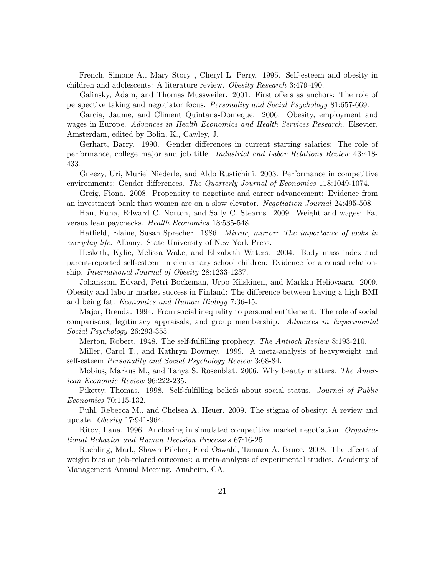French, Simone A., Mary Story , Cheryl L. Perry. 1995. Self-esteem and obesity in children and adolescents: A literature review. Obesity Research 3:479-490.

Galinsky, Adam, and Thomas Mussweiler. 2001. First offers as anchors: The role of perspective taking and negotiator focus. Personality and Social Psychology 81:657-669.

Garcia, Jaume, and Climent Quintana-Domeque. 2006. Obesity, employment and wages in Europe. Advances in Health Economics and Health Services Research. Elsevier, Amsterdam, edited by Bolin, K., Cawley, J.

Gerhart, Barry. 1990. Gender differences in current starting salaries: The role of performance, college major and job title. Industrial and Labor Relations Review 43:418- 433.

Gneezy, Uri, Muriel Niederle, and Aldo Rustichini. 2003. Performance in competitive environments: Gender differences. The Quarterly Journal of Economics 118:1049-1074.

Greig, Fiona. 2008. Propensity to negotiate and career advancement: Evidence from an investment bank that women are on a slow elevator. Negotiation Journal 24:495-508.

Han, Euna, Edward C. Norton, and Sally C. Stearns. 2009. Weight and wages: Fat versus lean paychecks. Health Economics 18:535-548.

Hatfield, Elaine, Susan Sprecher. 1986. Mirror, mirror: The importance of looks in everyday life. Albany: State University of New York Press.

Hesketh, Kylie, Melissa Wake, and Elizabeth Waters. 2004. Body mass index and parent-reported self-esteem in elementary school children: Evidence for a causal relationship. International Journal of Obesity 28:1233-1237.

Johansson, Edvard, Petri Bockeman, Urpo Kiiskinen, and Markku Heliovaara. 2009. Obesity and labour market success in Finland: The difference between having a high BMI and being fat. Economics and Human Biology 7:36-45.

Major, Brenda. 1994. From social inequality to personal entitlement: The role of social comparisons, legitimacy appraisals, and group membership. Advances in Experimental Social Psychology 26:293-355.

Merton, Robert. 1948. The self-fulfilling prophecy. The Antioch Review 8:193-210.

Miller, Carol T., and Kathryn Downey. 1999. A meta-analysis of heavyweight and self-esteem Personality and Social Psychology Review 3:68-84.

Mobius, Markus M., and Tanya S. Rosenblat. 2006. Why beauty matters. The American Economic Review 96:222-235.

Piketty, Thomas. 1998. Self-fulfilling beliefs about social status. Journal of Public Economics 70:115-132.

Puhl, Rebecca M., and Chelsea A. Heuer. 2009. The stigma of obesity: A review and update. Obesity 17:941-964.

Ritov, Ilana. 1996. Anchoring in simulated competitive market negotiation. Organizational Behavior and Human Decision Processes 67:16-25.

Roehling, Mark, Shawn Pilcher, Fred Oswald, Tamara A. Bruce. 2008. The effects of weight bias on job-related outcomes: a meta-analysis of experimental studies. Academy of Management Annual Meeting. Anaheim, CA.